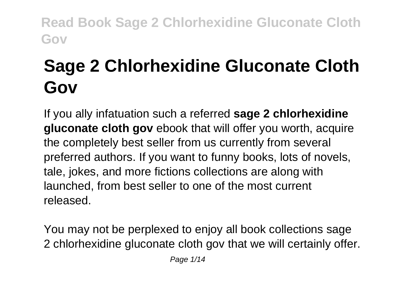# **Sage 2 Chlorhexidine Gluconate Cloth Gov**

If you ally infatuation such a referred **sage 2 chlorhexidine gluconate cloth gov** ebook that will offer you worth, acquire the completely best seller from us currently from several preferred authors. If you want to funny books, lots of novels, tale, jokes, and more fictions collections are along with launched, from best seller to one of the most current released.

You may not be perplexed to enjoy all book collections sage 2 chlorhexidine gluconate cloth gov that we will certainly offer.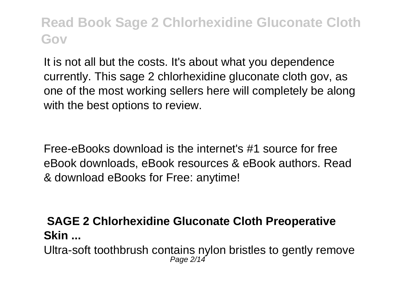It is not all but the costs. It's about what you dependence currently. This sage 2 chlorhexidine gluconate cloth gov, as one of the most working sellers here will completely be along with the best options to review.

Free-eBooks download is the internet's #1 source for free eBook downloads, eBook resources & eBook authors. Read & download eBooks for Free: anytime!

### **SAGE 2 Chlorhexidine Gluconate Cloth Preoperative Skin ...**

Ultra-soft toothbrush contains nylon bristles to gently remove Page 2/14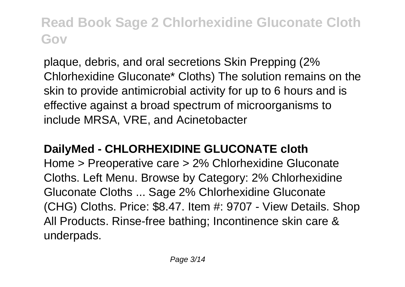plaque, debris, and oral secretions Skin Prepping (2% Chlorhexidine Gluconate\* Cloths) The solution remains on the skin to provide antimicrobial activity for up to 6 hours and is effective against a broad spectrum of microorganisms to include MRSA, VRE, and Acinetobacter

### **DailyMed - CHLORHEXIDINE GLUCONATE cloth**

Home > Preoperative care > 2% Chlorhexidine Gluconate Cloths. Left Menu. Browse by Category: 2% Chlorhexidine Gluconate Cloths ... Sage 2% Chlorhexidine Gluconate (CHG) Cloths. Price: \$8.47. Item #: 9707 - View Details. Shop All Products. Rinse-free bathing; Incontinence skin care & underpads.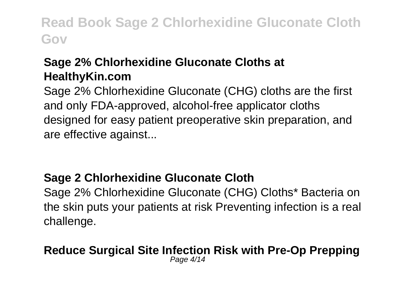### **Sage 2% Chlorhexidine Gluconate Cloths at HealthyKin.com**

Sage 2% Chlorhexidine Gluconate (CHG) cloths are the first and only FDA-approved, alcohol-free applicator cloths designed for easy patient preoperative skin preparation, and are effective against...

### **Sage 2 Chlorhexidine Gluconate Cloth**

Sage 2% Chlorhexidine Gluconate (CHG) Cloths\* Bacteria on the skin puts your patients at risk Preventing infection is a real challenge.

#### **Reduce Surgical Site Infection Risk with Pre-Op Prepping** Page 4/14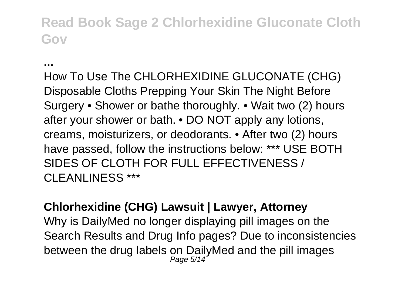**...**

How To Use The CHLORHEXIDINE GLUCONATE (CHG) Disposable Cloths Prepping Your Skin The Night Before Surgery • Shower or bathe thoroughly. • Wait two (2) hours after your shower or bath. • DO NOT apply any lotions, creams, moisturizers, or deodorants. • After two (2) hours have passed, follow the instructions below: \*\*\* USE BOTH SIDES OF CLOTH FOR FULL EFFECTIVENESS / CLEANLINESS \*\*\*

### **Chlorhexidine (CHG) Lawsuit | Lawyer, Attorney**

Why is DailyMed no longer displaying pill images on the Search Results and Drug Info pages? Due to inconsistencies between the drug labels on DailyMed and the pill images Page 5/14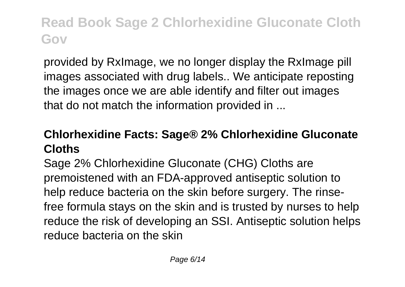provided by RxImage, we no longer display the RxImage pill images associated with drug labels.. We anticipate reposting the images once we are able identify and filter out images that do not match the information provided in ...

### **Chlorhexidine Facts: Sage® 2% Chlorhexidine Gluconate Cloths**

Sage 2% Chlorhexidine Gluconate (CHG) Cloths are premoistened with an FDA-approved antiseptic solution to help reduce bacteria on the skin before surgery. The rinsefree formula stays on the skin and is trusted by nurses to help reduce the risk of developing an SSI. Antiseptic solution helps reduce bacteria on the skin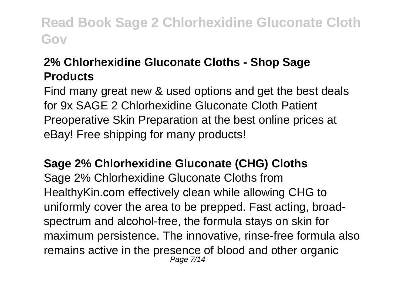### **2% Chlorhexidine Gluconate Cloths - Shop Sage Products**

Find many great new & used options and get the best deals for 9x SAGE 2 Chlorhexidine Gluconate Cloth Patient Preoperative Skin Preparation at the best online prices at eBay! Free shipping for many products!

**Sage 2% Chlorhexidine Gluconate (CHG) Cloths** Sage 2% Chlorhexidine Gluconate Cloths from HealthyKin.com effectively clean while allowing CHG to uniformly cover the area to be prepped. Fast acting, broadspectrum and alcohol-free, the formula stays on skin for maximum persistence. The innovative, rinse-free formula also remains active in the presence of blood and other organic Page 7/14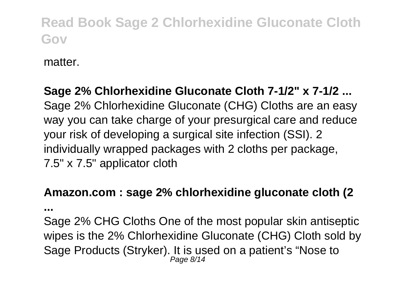matter

**Sage 2% Chlorhexidine Gluconate Cloth 7-1/2" x 7-1/2 ...** Sage 2% Chlorhexidine Gluconate (CHG) Cloths are an easy way you can take charge of your presurgical care and reduce your risk of developing a surgical site infection (SSI). 2 individually wrapped packages with 2 cloths per package, 7.5" x 7.5" applicator cloth

#### **Amazon.com : sage 2% chlorhexidine gluconate cloth (2**

**...**

Sage 2% CHG Cloths One of the most popular skin antiseptic wipes is the 2% Chlorhexidine Gluconate (CHG) Cloth sold by Sage Products (Stryker). It is used on a patient's "Nose to Page 8/14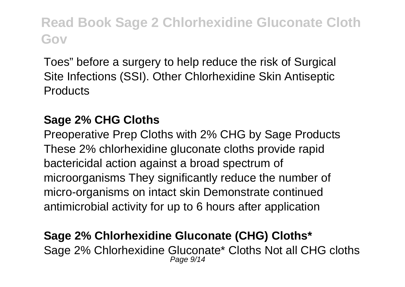Toes" before a surgery to help reduce the risk of Surgical Site Infections (SSI). Other Chlorhexidine Skin Antiseptic **Products** 

### **Sage 2% CHG Cloths**

Preoperative Prep Cloths with 2% CHG by Sage Products These 2% chlorhexidine gluconate cloths provide rapid bactericidal action against a broad spectrum of microorganisms They significantly reduce the number of micro-organisms on intact skin Demonstrate continued antimicrobial activity for up to 6 hours after application

#### **Sage 2% Chlorhexidine Gluconate (CHG) Cloths\*** Sage 2% Chlorhexidine Gluconate\* Cloths Not all CHG cloths Page 9/14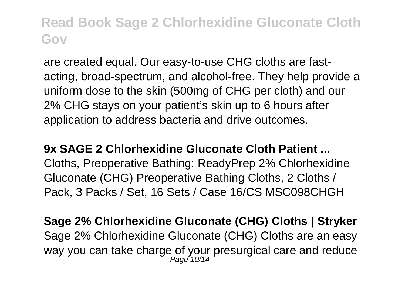are created equal. Our easy-to-use CHG cloths are fastacting, broad-spectrum, and alcohol-free. They help provide a uniform dose to the skin (500mg of CHG per cloth) and our 2% CHG stays on your patient's skin up to 6 hours after application to address bacteria and drive outcomes.

**9x SAGE 2 Chlorhexidine Gluconate Cloth Patient ...** Cloths, Preoperative Bathing: ReadyPrep 2% Chlorhexidine Gluconate (CHG) Preoperative Bathing Cloths, 2 Cloths / Pack, 3 Packs / Set, 16 Sets / Case 16/CS MSC098CHGH

**Sage 2% Chlorhexidine Gluconate (CHG) Cloths | Stryker** Sage 2% Chlorhexidine Gluconate (CHG) Cloths are an easy way you can take charge of your presurgical care and reduce Page 10/14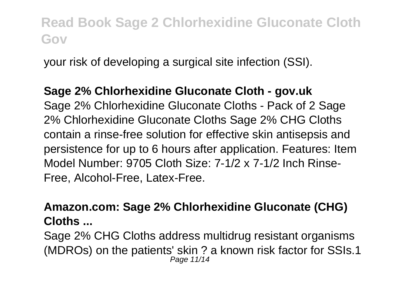your risk of developing a surgical site infection (SSI).

#### **Sage 2% Chlorhexidine Gluconate Cloth - gov.uk**

Sage 2% Chlorhexidine Gluconate Cloths - Pack of 2 Sage 2% Chlorhexidine Gluconate Cloths Sage 2% CHG Cloths contain a rinse-free solution for effective skin antisepsis and persistence for up to 6 hours after application. Features: Item Model Number: 9705 Cloth Size: 7-1/2 x 7-1/2 Inch Rinse-Free, Alcohol-Free, Latex-Free.

### **Amazon.com: Sage 2% Chlorhexidine Gluconate (CHG) Cloths ...**

Sage 2% CHG Cloths address multidrug resistant organisms (MDROs) on the patients' skin ? a known risk factor for SSIs.1 Page 11/14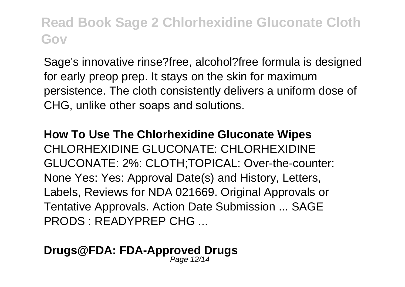Sage's innovative rinse?free, alcohol?free formula is designed for early preop prep. It stays on the skin for maximum persistence. The cloth consistently delivers a uniform dose of CHG, unlike other soaps and solutions.

**How To Use The Chlorhexidine Gluconate Wipes** CHLORHEXIDINE GLUCONATE: CHLORHEXIDINE GLUCONATE: 2%: CLOTH;TOPICAL: Over-the-counter: None Yes: Yes: Approval Date(s) and History, Letters, Labels, Reviews for NDA 021669. Original Approvals or Tentative Approvals. Action Date Submission ... SAGE PRODS : READYPREP CHG ...

#### **Drugs@FDA: FDA-Approved Drugs** Page 12/14